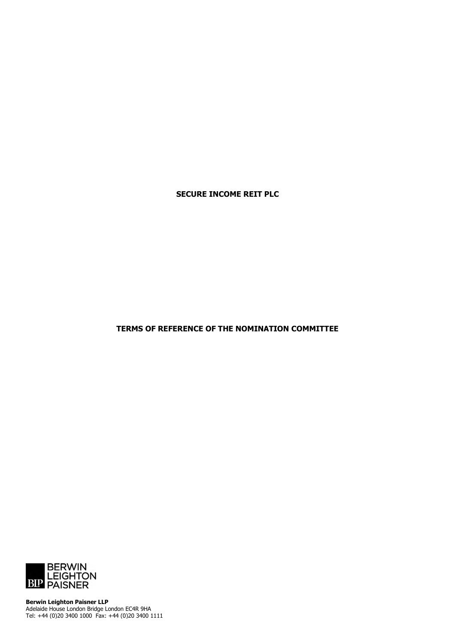**SECURE INCOME REIT PLC**

**TERMS OF REFERENCE OF THE NOMINATION COMMITTEE**



**Berwin Leighton Paisner LLP** Adelaide House London Bridge London EC4R 9HA Tel: +44 (0)20 3400 1000 Fax: +44 (0)20 3400 1111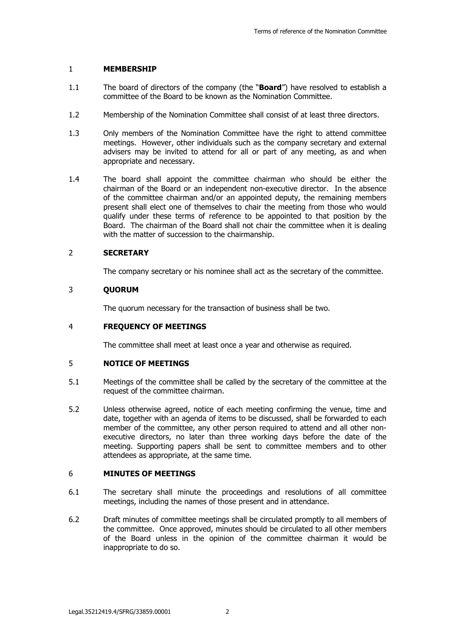## 1 **MEMBERSHIP**

- 1.1 The board of directors of the company (the "**Board**") have resolved to establish a committee of the Board to be known as the Nomination Committee.
- 1.2 Membership of the Nomination Committee shall consist of at least three directors.
- 1.3 Only members of the Nomination Committee have the right to attend committee meetings. However, other individuals such as the company secretary and external advisers may be invited to attend for all or part of any meeting, as and when appropriate and necessary.
- 1.4 The board shall appoint the committee chairman who should be either the chairman of the Board or an independent non-executive director. In the absence of the committee chairman and/or an appointed deputy, the remaining members present shall elect one of themselves to chair the meeting from those who would qualify under these terms of reference to be appointed to that position by the Board. The chairman of the Board shall not chair the committee when it is dealing with the matter of succession to the chairmanship.

## 2 **SECRETARY**

The company secretary or his nominee shall act as the secretary of the committee.

### 3 **QUORUM**

The quorum necessary for the transaction of business shall be two.

#### 4 **FREQUENCY OF MEETINGS**

The committee shall meet at least once a year and otherwise as required.

## 5 **NOTICE OF MEETINGS**

- 5.1 Meetings of the committee shall be called by the secretary of the committee at the request of the committee chairman.
- 5.2 Unless otherwise agreed, notice of each meeting confirming the venue, time and date, together with an agenda of items to be discussed, shall be forwarded to each member of the committee, any other person required to attend and all other nonexecutive directors, no later than three working days before the date of the meeting. Supporting papers shall be sent to committee members and to other attendees as appropriate, at the same time.

## 6 **MINUTES OF MEETINGS**

- 6.1 The secretary shall minute the proceedings and resolutions of all committee meetings, including the names of those present and in attendance.
- 6.2 Draft minutes of committee meetings shall be circulated promptly to all members of the committee. Once approved, minutes should be circulated to all other members of the Board unless in the opinion of the committee chairman it would be inappropriate to do so.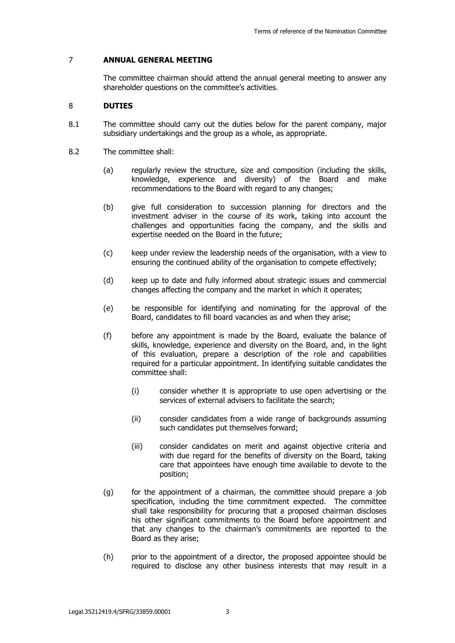# 7 **ANNUAL GENERAL MEETING**

The committee chairman should attend the annual general meeting to answer any shareholder questions on the committee's activities.

### 8 **DUTIES**

- 8.1 The committee should carry out the duties below for the parent company, major subsidiary undertakings and the group as a whole, as appropriate.
- 8.2 The committee shall:
	- (a) regularly review the structure, size and composition (including the skills, knowledge, experience and diversity) of the Board and make recommendations to the Board with regard to any changes;
	- (b) give full consideration to succession planning for directors and the investment adviser in the course of its work, taking into account the challenges and opportunities facing the company, and the skills and expertise needed on the Board in the future;
	- (c) keep under review the leadership needs of the organisation, with a view to ensuring the continued ability of the organisation to compete effectively;
	- (d) keep up to date and fully informed about strategic issues and commercial changes affecting the company and the market in which it operates;
	- (e) be responsible for identifying and nominating for the approval of the Board, candidates to fill board vacancies as and when they arise;
	- (f) before any appointment is made by the Board, evaluate the balance of skills, knowledge, experience and diversity on the Board, and, in the light of this evaluation, prepare a description of the role and capabilities required for a particular appointment. In identifying suitable candidates the committee shall:
		- (i) consider whether it is appropriate to use open advertising or the services of external advisers to facilitate the search;
		- (ii) consider candidates from a wide range of backgrounds assuming such candidates put themselves forward;
		- (iii) consider candidates on merit and against objective criteria and with due regard for the benefits of diversity on the Board, taking care that appointees have enough time available to devote to the position;
	- (g) for the appointment of a chairman, the committee should prepare a job specification, including the time commitment expected. The committee shall take responsibility for procuring that a proposed chairman discloses his other significant commitments to the Board before appointment and that any changes to the chairman's commitments are reported to the Board as they arise;
	- (h) prior to the appointment of a director, the proposed appointee should be required to disclose any other business interests that may result in a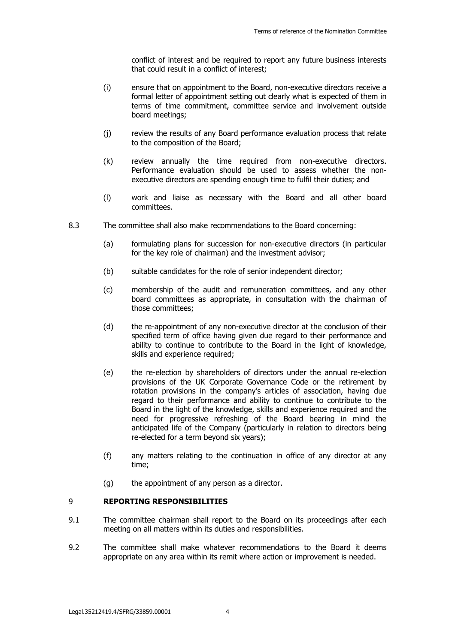conflict of interest and be required to report any future business interests that could result in a conflict of interest;

- (i) ensure that on appointment to the Board, non-executive directors receive a formal letter of appointment setting out clearly what is expected of them in terms of time commitment, committee service and involvement outside board meetings;
- (j) review the results of any Board performance evaluation process that relate to the composition of the Board;
- (k) review annually the time required from non-executive directors. Performance evaluation should be used to assess whether the nonexecutive directors are spending enough time to fulfil their duties; and
- (l) work and liaise as necessary with the Board and all other board committees.
- 8.3 The committee shall also make recommendations to the Board concerning:
	- (a) formulating plans for succession for non-executive directors (in particular for the key role of chairman) and the investment advisor;
	- (b) suitable candidates for the role of senior independent director;
	- (c) membership of the audit and remuneration committees, and any other board committees as appropriate, in consultation with the chairman of those committees;
	- (d) the re-appointment of any non-executive director at the conclusion of their specified term of office having given due regard to their performance and ability to continue to contribute to the Board in the light of knowledge, skills and experience required;
	- (e) the re-election by shareholders of directors under the annual re-election provisions of the UK Corporate Governance Code or the retirement by rotation provisions in the company's articles of association, having due regard to their performance and ability to continue to contribute to the Board in the light of the knowledge, skills and experience required and the need for progressive refreshing of the Board bearing in mind the anticipated life of the Company (particularly in relation to directors being re-elected for a term beyond six years);
	- (f) any matters relating to the continuation in office of any director at any time;
	- (g) the appointment of any person as a director.

# 9 **REPORTING RESPONSIBILITIES**

- 9.1 The committee chairman shall report to the Board on its proceedings after each meeting on all matters within its duties and responsibilities.
- 9.2 The committee shall make whatever recommendations to the Board it deems appropriate on any area within its remit where action or improvement is needed.